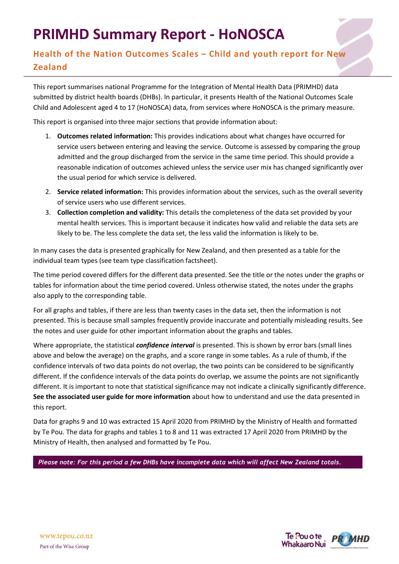# **PRIMHD Summary Report - HoNOSCA**

## **Health of the Nation Outcomes Scales – Child and youth report for New Zealand**

This report summarises national Programme for the Integration of Mental Health Data (PRIMHD) data submitted by district health boards (DHBs). In particular, it presents Health of the National Outcomes Scale Child and Adolescent aged 4 to 17 (HoNOSCA) data, from services where HoNOSCA is the primary measure.

This report is organised into three major sections that provide information about:

- 1. **Outcomes related information:** This provides indications about what changes have occurred for service users between entering and leaving the service. Outcome is assessed by comparing the group admitted and the group discharged from the service in the same time period. This should provide a reasonable indication of outcomes achieved unless the service user mix has changed significantly over the usual period for which service is delivered.
- 2. **Service related information:** This provides information about the services, such as the overall severity of service users who use different services.
- 3. **Collection completion and validity:** This details the completeness of the data set provided by your mental health services. This is important because it indicates how valid and reliable the data sets are likely to be. The less complete the data set, the less valid the information is likely to be.

In many cases the data is presented graphically for New Zealand, and then presented as a table for the individual team types (see team type classification factsheet).

The time period covered differs for the different data presented. See the title or the notes under the graphs or tables for information about the time period covered. Unless otherwise stated, the notes under the graphs also apply to the corresponding table.

For all graphs and tables, if there are less than twenty cases in the data set, then the information is not presented. This is because small samples frequently provide inaccurate and potentially misleading results. See the notes and user guide for other important information about the graphs and tables.

Where appropriate, the statistical *confidence interval* is presented. This is shown by error bars (small lines above and below the average) on the graphs, and a score range in some tables. As a rule of thumb, if the confidence intervals of two data points do not overlap, the two points can be considered to be significantly different. If the confidence intervals of the data points do overlap, we assume the points are not significantly different. It is important to note that statistical significance may not indicate a clinically significantly difference. **See the associated user guide for more information** about how to understand and use the data presented in this report.

Data for graphs 9 and 10 was extracted 15 April 2020 from PRIMHD by the Ministry of Health and formatted by Te Pou. The data for graphs and tables 1 to 8 and 11 was extracted 17 April 2020 from PRIMHD by the Ministry of Health, then analysed and formatted by Te Pou.

*Please note: For this period a few DHBs have incomplete data which will affect New Zealand totals.*

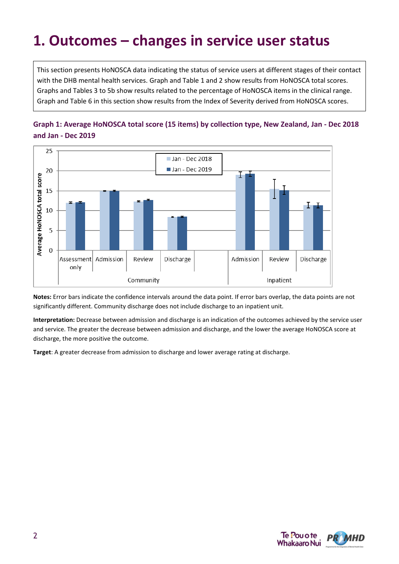# **1. Outcomes – changes in service user status**

This section presents HoNOSCA data indicating the status of service users at different stages of their contact with the DHB mental health services. Graph and Table 1 and 2 show results from HoNOSCA total scores. Graphs and Tables 3 to 5b show results related to the percentage of HoNOSCA items in the clinical range. Graph and Table 6 in this section show results from the Index of Severity derived from HoNOSCA scores.





**Notes:** Error bars indicate the confidence intervals around the data point. If error bars overlap, the data points are not significantly different. Community discharge does not include discharge to an inpatient unit.

**Interpretation:** Decrease between admission and discharge is an indication of the outcomes achieved by the service user and service. The greater the decrease between admission and discharge, and the lower the average HoNOSCA score at discharge, the more positive the outcome.

**Target**: A greater decrease from admission to discharge and lower average rating at discharge.

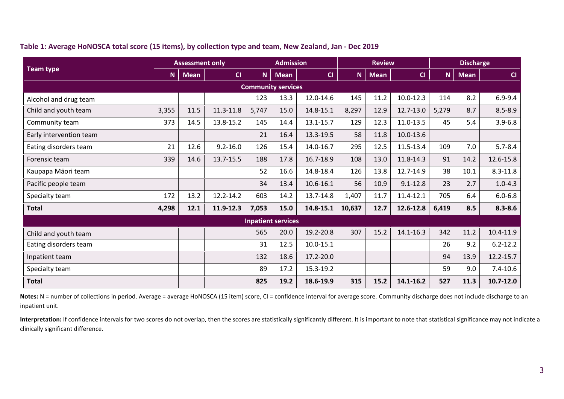#### **Table 1: Average HoNOSCA total score (15 items), by collection type and team, New Zealand, Jan - Dec 2019**

|                         |       | <b>Assessment only</b> |              |       | <b>Admission</b>          |               |        | <b>Review</b> |               | <b>Discharge</b> |             |               |  |
|-------------------------|-------|------------------------|--------------|-------|---------------------------|---------------|--------|---------------|---------------|------------------|-------------|---------------|--|
| <b>Team type</b>        | N     | <b>Mean</b>            | CI           | N.    | <b>Mean</b>               | CI            | N      | <b>Mean</b>   | CI            | $\mathbf N$      | <b>Mean</b> | CI            |  |
|                         |       |                        |              |       | <b>Community services</b> |               |        |               |               |                  |             |               |  |
| Alcohol and drug team   |       |                        |              | 123   | 13.3                      | 12.0-14.6     | 145    | 11.2          | $10.0 - 12.3$ | 114              | 8.2         | $6.9 - 9.4$   |  |
| Child and youth team    | 3,355 | 11.5                   | 11.3-11.8    | 5,747 | 15.0                      | 14.8-15.1     | 8,297  | 12.9          | 12.7-13.0     | 5,279            | 8.7         | $8.5 - 8.9$   |  |
| Community team          | 373   | 14.5                   | 13.8-15.2    | 145   | 14.4                      | 13.1-15.7     | 129    | 12.3          | 11.0-13.5     | 45               | 5.4         | $3.9 - 6.8$   |  |
| Early intervention team |       |                        |              | 21    | 16.4                      | 13.3-19.5     | 58     | 11.8          | 10.0-13.6     |                  |             |               |  |
| Eating disorders team   | 21    | 12.6                   | $9.2 - 16.0$ | 126   | 15.4                      | 14.0-16.7     | 295    | 12.5          | 11.5-13.4     | 109              | 7.0         | $5.7 - 8.4$   |  |
| Forensic team           | 339   | 14.6                   | 13.7-15.5    | 188   | 17.8                      | 16.7-18.9     | 108    | 13.0          | 11.8-14.3     | 91               | 14.2        | 12.6-15.8     |  |
| Kaupapa Māori team      |       |                        |              | 52    | 16.6                      | 14.8-18.4     | 126    | 13.8          | 12.7-14.9     | 38               | 10.1        | $8.3 - 11.8$  |  |
| Pacific people team     |       |                        |              | 34    | 13.4                      | 10.6-16.1     | 56     | 10.9          | $9.1 - 12.8$  | 23               | 2.7         | $1.0 - 4.3$   |  |
| Specialty team          | 172   | 13.2                   | 12.2-14.2    | 603   | 14.2                      | 13.7-14.8     | 1,407  | 11.7          | 11.4-12.1     | 705              | 6.4         | $6.0 - 6.8$   |  |
| <b>Total</b>            | 4,298 | 12.1                   | 11.9-12.3    | 7,053 | 15.0                      | 14.8-15.1     | 10,637 | 12.7          | 12.6-12.8     | 6,419            | 8.5         | $8.3 - 8.6$   |  |
|                         |       |                        |              |       | <b>Inpatient services</b> |               |        |               |               |                  |             |               |  |
| Child and youth team    |       |                        |              | 565   | 20.0                      | 19.2-20.8     | 307    | 15.2          | 14.1-16.3     | 342              | 11.2        | 10.4-11.9     |  |
| Eating disorders team   |       |                        |              | 31    | 12.5                      | $10.0 - 15.1$ |        |               |               | 26               | 9.2         | $6.2 - 12.2$  |  |
| Inpatient team          |       |                        |              | 132   | 18.6                      | 17.2-20.0     |        |               |               | 94               | 13.9        | 12.2-15.7     |  |
| Specialty team          |       |                        |              | 89    | 17.2                      | 15.3-19.2     |        |               |               | 59               | 9.0         | $7.4 - 10.6$  |  |
| <b>Total</b>            |       |                        |              | 825   | 19.2                      | 18.6-19.9     | 315    | 15.2          | 14.1-16.2     | 527              | 11.3        | $10.7 - 12.0$ |  |

Notes: N = number of collections in period. Average = average HoNOSCA (15 item) score, CI = confidence interval for average score. Community discharge does not include discharge to an inpatient unit.

Interpretation: If confidence intervals for two scores do not overlap, then the scores are statistically significantly different. It is important to note that statistical significance may not indicate a clinically significant difference.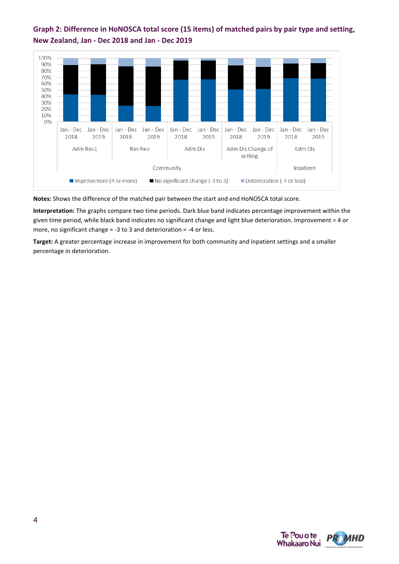



**Notes:** Shows the difference of the matched pair between the start and end HoNOSCA total score.

**Interpretation:** The graphs compare two time periods. Dark blue band indicates percentage improvement within the given time period, while black band indicates no significant change and light blue deterioration. Improvement = 4 or more, no significant change = -3 to 3 and deterioration = -4 or less.

**Target:** A greater percentage increase in improvement for both community and inpatient settings and a smaller percentage in deterioration.

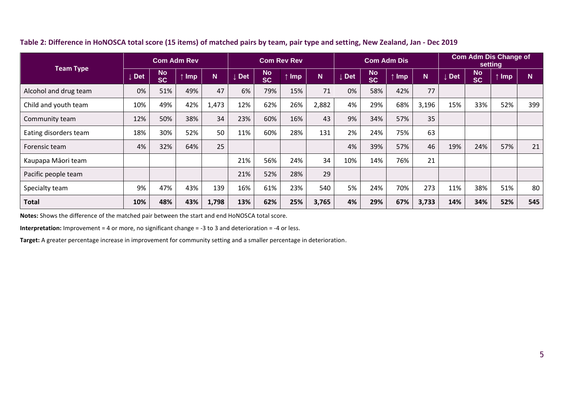|                       | <b>Com Adm Rev</b> |                        |                 |       | <b>Com Rev Rev</b> |                        |            |       | <b>Com Adm Dis</b> |                        |     |       | <b>Com Adm Dis Change of</b><br>setting |                        |     |     |  |
|-----------------------|--------------------|------------------------|-----------------|-------|--------------------|------------------------|------------|-------|--------------------|------------------------|-----|-------|-----------------------------------------|------------------------|-----|-----|--|
| <b>Team Type</b>      | ↓ Det              | <b>No</b><br><b>SC</b> | <b>Imp</b><br>木 | N.    | <b>Det</b>         | <b>No</b><br><b>SC</b> | <b>Imp</b> | N.    | <b>Det</b>         | <b>No</b><br><b>SC</b> | Imp | N.    | <b>Det</b>                              | <b>No</b><br><b>SC</b> | Imp | N.  |  |
| Alcohol and drug team | 0%                 | 51%                    | 49%             | 47    | 6%                 | 79%                    | 15%        | 71    | 0%                 | 58%                    | 42% | 77    |                                         |                        |     |     |  |
| Child and youth team  | 10%                | 49%                    | 42%             | 1,473 | 12%                | 62%                    | 26%        | 2,882 | 4%                 | 29%                    | 68% | 3,196 | 15%                                     | 33%                    | 52% | 399 |  |
| Community team        | 12%                | 50%                    | 38%             | 34    | 23%                | 60%                    | 16%        | 43    | 9%                 | 34%                    | 57% | 35    |                                         |                        |     |     |  |
| Eating disorders team | 18%                | 30%                    | 52%             | 50    | 11%                | 60%                    | 28%        | 131   | 2%                 | 24%                    | 75% | 63    |                                         |                        |     |     |  |
| Forensic team         | 4%                 | 32%                    | 64%             | 25    |                    |                        |            |       | 4%                 | 39%                    | 57% | 46    | 19%                                     | 24%                    | 57% | 21  |  |
| Kaupapa Māori team    |                    |                        |                 |       | 21%                | 56%                    | 24%        | 34    | 10%                | 14%                    | 76% | 21    |                                         |                        |     |     |  |
| Pacific people team   |                    |                        |                 |       | 21%                | 52%                    | 28%        | 29    |                    |                        |     |       |                                         |                        |     |     |  |
| Specialty team        | 9%                 | 47%                    | 43%             | 139   | 16%                | 61%                    | 23%        | 540   | 5%                 | 24%                    | 70% | 273   | 11%                                     | 38%                    | 51% | 80  |  |
| <b>Total</b>          | 10%                | 48%                    | 43%             | 1,798 | 13%                | 62%                    | 25%        | 3,765 | 4%                 | 29%                    | 67% | 3,733 | 14%                                     | 34%                    | 52% | 545 |  |

#### **Table 2: Difference in HoNOSCA total score (15 items) of matched pairs by team, pair type and setting, New Zealand, Jan - Dec 2019**

**Notes:** Shows the difference of the matched pair between the start and end HoNOSCA total score.

**Interpretation:** Improvement = 4 or more, no significant change = -3 to 3 and deterioration = -4 or less.

**Target:** A greater percentage increase in improvement for community setting and a smaller percentage in deterioration.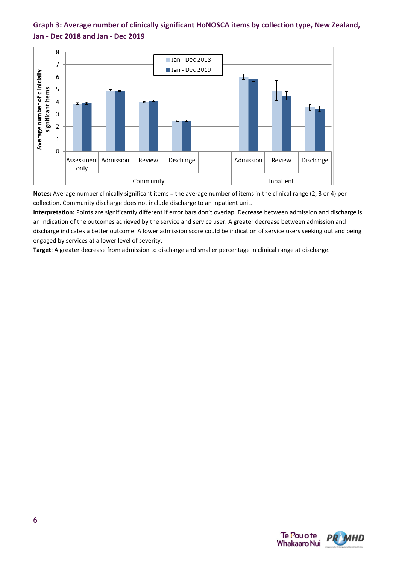



**Notes:** Average number clinically significant items = the average number of items in the clinical range (2, 3 or 4) per collection. Community discharge does not include discharge to an inpatient unit.

**Interpretation:** Points are significantly different if error bars don't overlap. Decrease between admission and discharge is an indication of the outcomes achieved by the service and service user. A greater decrease between admission and discharge indicates a better outcome. A lower admission score could be indication of service users seeking out and being engaged by services at a lower level of severity.

**Target**: A greater decrease from admission to discharge and smaller percentage in clinical range at discharge.

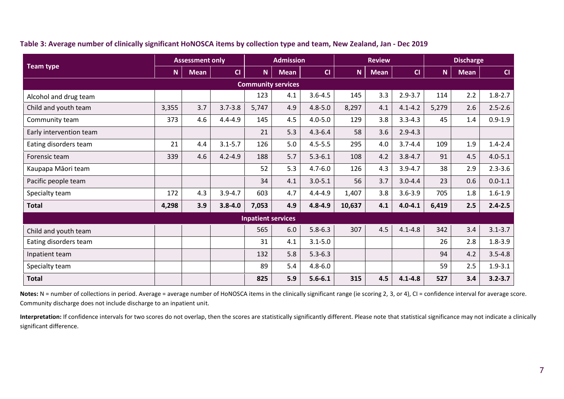|                         | <b>Assessment only</b> |             |             |                           | <b>Admission</b>          |             |        | <b>Review</b> |             | <b>Discharge</b> |             |             |  |
|-------------------------|------------------------|-------------|-------------|---------------------------|---------------------------|-------------|--------|---------------|-------------|------------------|-------------|-------------|--|
| <b>Team type</b>        | N.                     | <b>Mean</b> | CI          | <b>N</b>                  | <b>Mean</b>               | CI          | N.     | <b>Mean</b>   | CI          | N.               | <b>Mean</b> | CI          |  |
|                         |                        |             |             |                           | <b>Community services</b> |             |        |               |             |                  |             |             |  |
| Alcohol and drug team   |                        |             |             | 123                       | 4.1                       | $3.6 - 4.5$ | 145    | 3.3           | $2.9 - 3.7$ | 114              | 2.2         | $1.8 - 2.7$ |  |
| Child and youth team    | 3,355                  | 3.7         | $3.7 - 3.8$ | 5,747                     | 4.9                       | $4.8 - 5.0$ | 8,297  | 4.1           | $4.1 - 4.2$ | 5,279            | 2.6         | $2.5 - 2.6$ |  |
| Community team          | 373                    | 4.6         | $4.4 - 4.9$ | 145                       | 4.5                       | $4.0 - 5.0$ | 129    | 3.8           | $3.3 - 4.3$ | 45               | 1.4         | $0.9 - 1.9$ |  |
| Early intervention team |                        |             |             | 21                        | 5.3                       | $4.3 - 6.4$ | 58     | 3.6           | $2.9 - 4.3$ |                  |             |             |  |
| Eating disorders team   | 21                     | 4.4         | $3.1 - 5.7$ | 126                       | 5.0                       | $4.5 - 5.5$ | 295    | 4.0           | $3.7 - 4.4$ | 109              | 1.9         | $1.4 - 2.4$ |  |
| Forensic team           | 339                    | 4.6         | $4.2 - 4.9$ | 188                       | 5.7                       | $5.3 - 6.1$ | 108    | 4.2           | $3.8 - 4.7$ | 91               | 4.5         | $4.0 - 5.1$ |  |
| Kaupapa Māori team      |                        |             |             | 52                        | 5.3                       | $4.7 - 6.0$ | 126    | 4.3           | $3.9 - 4.7$ | 38               | 2.9         | $2.3 - 3.6$ |  |
| Pacific people team     |                        |             |             | 34                        | 4.1                       | $3.0 - 5.1$ | 56     | 3.7           | $3.0 - 4.4$ | 23               | 0.6         | $0.0 - 1.1$ |  |
| Specialty team          | 172                    | 4.3         | $3.9 - 4.7$ | 603                       | 4.7                       | $4.4 - 4.9$ | 1,407  | 3.8           | $3.6 - 3.9$ | 705              | 1.8         | $1.6 - 1.9$ |  |
| <b>Total</b>            | 4,298                  | 3.9         | $3.8 - 4.0$ | 7,053                     | 4.9                       | $4.8 - 4.9$ | 10,637 | 4.1           | $4.0 - 4.1$ | 6,419            | 2.5         | $2.4 - 2.5$ |  |
|                         |                        |             |             | <b>Inpatient services</b> |                           |             |        |               |             |                  |             |             |  |
| Child and youth team    |                        |             |             | 565                       | 6.0                       | $5.8 - 6.3$ | 307    | 4.5           | $4.1 - 4.8$ | 342              | 3.4         | $3.1 - 3.7$ |  |
| Eating disorders team   |                        |             |             | 31                        | 4.1                       | $3.1 - 5.0$ |        |               |             | 26               | 2.8         | $1.8 - 3.9$ |  |
| Inpatient team          |                        |             |             | 132                       | 5.8                       | $5.3 - 6.3$ |        |               |             | 94               | 4.2         | $3.5 - 4.8$ |  |
| Specialty team          |                        |             |             | 89                        | 5.4                       | $4.8 - 6.0$ |        |               |             | 59               | 2.5         | $1.9 - 3.1$ |  |
| <b>Total</b>            |                        |             |             | 825                       | 5.9                       | $5.6 - 6.1$ | 315    | 4.5           | $4.1 - 4.8$ | 527              | 3.4         | $3.2 - 3.7$ |  |

**Table 3: Average number of clinically significant HoNOSCA items by collection type and team, New Zealand, Jan - Dec 2019**

Notes: N = number of collections in period. Average = average number of HoNOSCA items in the clinically significant range (ie scoring 2, 3, or 4), CI = confidence interval for average score. Community discharge does not include discharge to an inpatient unit.

**Interpretation:** If confidence intervals for two scores do not overlap, then the scores are statistically significantly different. Please note that statistical significance may not indicate a clinically significant difference.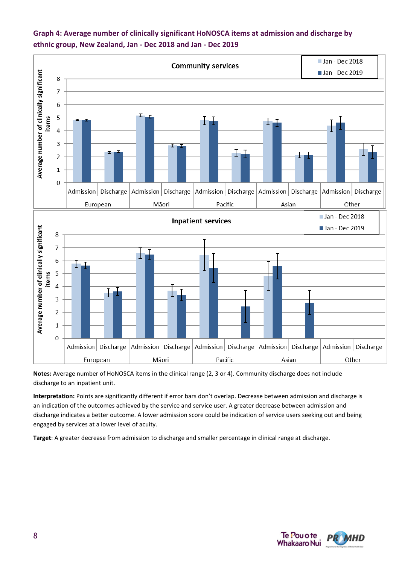

### **Graph 4: Average number of clinically significant HoNOSCA items at admission and discharge by ethnic group, New Zealand, Jan - Dec 2018 and Jan - Dec 2019**

**Notes:** Average number of HoNOSCA items in the clinical range (2, 3 or 4). Community discharge does not include discharge to an inpatient unit.

**Interpretation:** Points are significantly different if error bars don't overlap. Decrease between admission and discharge is an indication of the outcomes achieved by the service and service user. A greater decrease between admission and discharge indicates a better outcome. A lower admission score could be indication of service users seeking out and being engaged by services at a lower level of acuity.

**Target**: A greater decrease from admission to discharge and smaller percentage in clinical range at discharge.

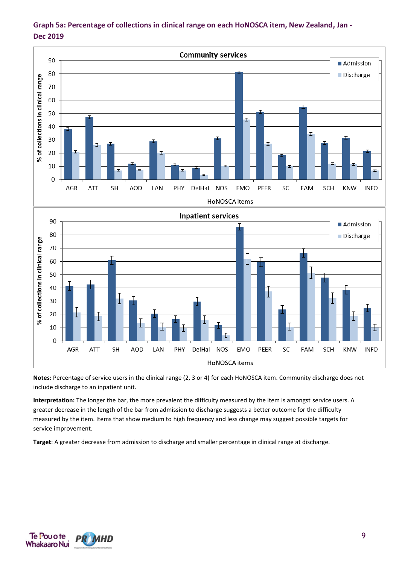

### **Graph 5a: Percentage of collections in clinical range on each HoNOSCA item, New Zealand, Jan - Dec 2019**

**Notes:** Percentage of service users in the clinical range (2, 3 or 4) for each HoNOSCA item. Community discharge does not include discharge to an inpatient unit.

**Interpretation:** The longer the bar, the more prevalent the difficulty measured by the item is amongst service users. A greater decrease in the length of the bar from admission to discharge suggests a better outcome for the difficulty measured by the item. Items that show medium to high frequency and less change may suggest possible targets for service improvement.

**Target**: A greater decrease from admission to discharge and smaller percentage in clinical range at discharge.

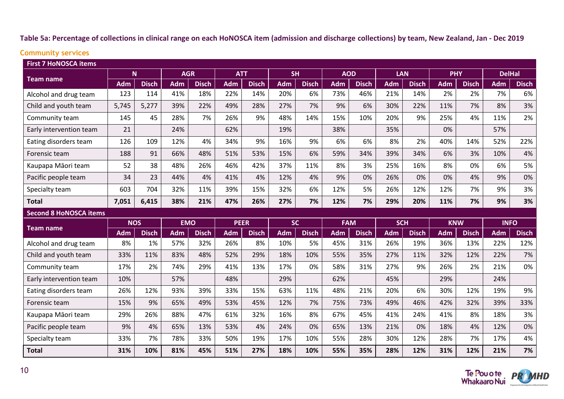#### **Table 5a: Percentage of collections in clinical range on each HoNOSCA item (admission and discharge collections) by team, New Zealand, Jan - Dec 2019**

# **Community services**

| <b>First 7 HoNOSCA items</b><br><b>AGR</b> |            |              |            |              |             |              |            |              |            |              |            |              |            |              |               |              |
|--------------------------------------------|------------|--------------|------------|--------------|-------------|--------------|------------|--------------|------------|--------------|------------|--------------|------------|--------------|---------------|--------------|
|                                            |            | N.           |            |              | <b>ATT</b>  |              | <b>SH</b>  |              | <b>AOD</b> |              | <b>LAN</b> |              | <b>PHY</b> |              | <b>DelHal</b> |              |
| <b>Team name</b>                           | <b>Adm</b> | <b>Disch</b> | <b>Adm</b> | <b>Disch</b> | <b>Adm</b>  | <b>Disch</b> | <b>Adm</b> | <b>Disch</b> | <b>Adm</b> | <b>Disch</b> | Adm        | <b>Disch</b> | <b>Adm</b> | <b>Disch</b> | <b>Adm</b>    | <b>Disch</b> |
| Alcohol and drug team                      | 123        | 114          | 41%        | 18%          | 22%         | 14%          | 20%        | 6%           | 73%        | 46%          | 21%        | 14%          | 2%         | 2%           | 7%            | 6%           |
| Child and youth team                       | 5,745      | 5,277        | 39%        | 22%          | 49%         | 28%          | 27%        | 7%           | 9%         | 6%           | 30%        | 22%          | 11%        | 7%           | 8%            | 3%           |
| Community team                             | 145        | 45           | 28%        | 7%           | 26%         | 9%           | 48%        | 14%          | 15%        | 10%          | 20%        | 9%           | 25%        | 4%           | 11%           | 2%           |
| Early intervention team                    | 21         |              | 24%        |              | 62%         |              | 19%        |              | 38%        |              | 35%        |              | 0%         |              | 57%           |              |
| Eating disorders team                      | 126        | 109          | 12%        | 4%           | 34%         | 9%           | 16%        | 9%           | 6%         | 6%           | 8%         | 2%           | 40%        | 14%          | 52%           | 22%          |
| Forensic team                              | 188        | 91           | 66%        | 48%          | 51%         | 53%          | 15%        | 6%           | 59%        | 34%          | 39%        | 34%          | 6%         | 3%           | 10%           | 4%           |
| Kaupapa Māori team                         | 52         | 38           | 48%        | 26%          | 46%         | 42%          | 37%        | 11%          | 8%         | 3%           | 25%        | 16%          | 8%         | 0%           | 6%            | 5%           |
| Pacific people team                        | 34         | 23           | 44%        | 4%           | 41%         | 4%           | 12%        | 4%           | 9%         | 0%           | 26%        | 0%           | 0%         | 4%           | 9%            | 0%           |
| Specialty team                             | 603        | 704          | 32%        | 11%          | 39%         | 15%          | 32%        | 6%           | 12%        | 5%           | 26%        | 12%          | 12%        | 7%           | 9%            | 3%           |
| <b>Total</b>                               | 7,051      | 6,415        | 38%        | 21%          | 47%         | 26%          | 27%        | 7%           | 12%        | 7%           | 29%        | 20%          | 11%        | 7%           | 9%            | 3%           |
| <b>Second 8 HoNOSCA items</b>              |            |              |            |              |             |              |            |              |            |              |            |              |            |              |               |              |
| Team name                                  | <b>NOS</b> |              | <b>EMO</b> |              | <b>PEER</b> |              | <b>SC</b>  |              | <b>FAM</b> |              | <b>SCH</b> |              | <b>KNW</b> |              | <b>INFO</b>   |              |
|                                            | <b>Adm</b> | <b>Disch</b> | <b>Adm</b> | <b>Disch</b> | <b>Adm</b>  | <b>Disch</b> | <b>Adm</b> | <b>Disch</b> | <b>Adm</b> | <b>Disch</b> | <b>Adm</b> | <b>Disch</b> | <b>Adm</b> | <b>Disch</b> | <b>Adm</b>    | <b>Disch</b> |
| Alcohol and drug team                      | 8%         | 1%           | 57%        | 32%          | 26%         | 8%           | 10%        | 5%           | 45%        | 31%          | 26%        | 19%          | 36%        | 13%          | 22%           | 12%          |
| Child and youth team                       | 33%        | 11%          | 83%        | 48%          | 52%         | 29%          | 18%        | 10%          | 55%        | 35%          | 27%        | 11%          | 32%        | 12%          | 22%           | 7%           |
| Community team                             | 17%        | 2%           | 74%        | 29%          | 41%         | 13%          | 17%        | 0%           | 58%        | 31%          | 27%        | 9%           | 26%        | 2%           | 21%           | 0%           |
| Early intervention team                    | 10%        |              | 57%        |              | 48%         |              | 29%        |              | 62%        |              | 45%        |              | 29%        |              | 24%           |              |
| Eating disorders team                      | 26%        | 12%          | 93%        | 39%          | 33%         | 15%          | 63%        | 11%          | 48%        | 21%          | 20%        | 6%           | 30%        | 12%          | 19%           | 9%           |
| Forensic team                              | 15%        | 9%           | 65%        | 49%          | 53%         | 45%          | 12%        | 7%           | 75%        | 73%          | 49%        | 46%          | 42%        | 32%          | 39%           | 33%          |
| Kaupapa Māori team                         | 29%        | 26%          | 88%        | 47%          | 61%         | 32%          | 16%        | 8%           | 67%        | 45%          | 41%        | 24%          | 41%        | 8%           | 18%           | 3%           |
| Pacific people team                        | 9%         | 4%           | 65%        | 13%          | 53%         | 4%           | 24%        | 0%           | 65%        | 13%          | 21%        | 0%           | 18%        | 4%           | 12%           | 0%           |
| Specialty team                             | 33%        | 7%           | 78%        | 33%          | 50%         | 19%          | 17%        | 10%          | 55%        | 28%          | 30%        | 12%          | 28%        | 7%           | 17%           | 4%           |
| <b>Total</b>                               | 31%        | 10%          | 81%        | 45%          | 51%         | 27%          | 18%        | 10%          | 55%        | 35%          | 28%        | 12%          | 31%        | 12%          | 21%           | 7%           |

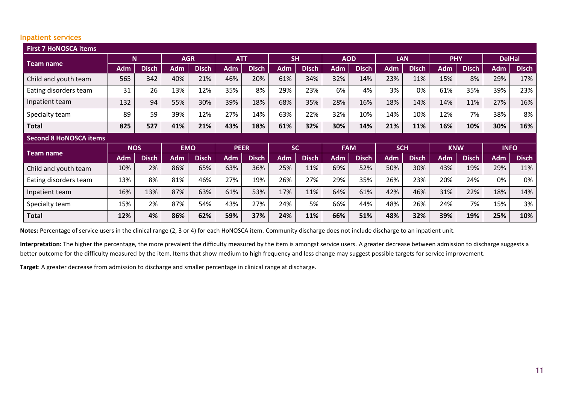#### **Inpatient services**

| <b>First 7 HoNOSCA items</b><br><b>SH</b><br><b>AOD</b><br><b>N</b><br><b>AGR</b><br><b>ATT</b><br><b>LAN</b><br><b>PHY</b><br><b>DelHal</b> |            |              |            |              |             |              |            |              |            |              |            |              |            |              |             |              |
|----------------------------------------------------------------------------------------------------------------------------------------------|------------|--------------|------------|--------------|-------------|--------------|------------|--------------|------------|--------------|------------|--------------|------------|--------------|-------------|--------------|
| <b>Team name</b>                                                                                                                             |            |              |            |              |             |              |            |              |            |              |            |              |            |              |             |              |
|                                                                                                                                              | <b>Adm</b> | <b>Disch</b> | <b>Adm</b> | <b>Disch</b> | <b>Adm</b>  | <b>Disch</b> | <b>Adm</b> | <b>Disch</b> | <b>Adm</b> | <b>Disch</b> | <b>Adm</b> | <b>Disch</b> | <b>Adm</b> | <b>Disch</b> | <b>Adm</b>  | <b>Disch</b> |
| Child and youth team                                                                                                                         | 565        | 342          | 40%        | 21%          | 46%         | 20%          | 61%        | 34%          | 32%        | 14%          | 23%        | 11%          | 15%        | 8%           | 29%         | 17%          |
| Eating disorders team                                                                                                                        | 31         | 26           | 13%        | 12%          | 35%         | 8%           | 29%        | 23%          | 6%         | 4%           | 3%         | 0%           | 61%        | 35%          | 39%         | 23%          |
| Inpatient team                                                                                                                               | 132        | 94           | 55%        | 30%          | 39%         | 18%          | 68%        | 35%          | 28%        | 16%          | 18%        | 14%          | 14%        | 11%          | 27%         | 16%          |
| Specialty team                                                                                                                               | 89         | 59           | 39%        | 12%          | 27%         | 14%          | 63%        | 22%          | 32%        | 10%          | 14%        | 10%          | 12%        | 7%           | 38%         | 8%           |
| <b>Total</b>                                                                                                                                 | 825        | 527          | 41%        | 21%          | 43%         | 18%          | 61%        | 32%          | 30%        | 14%          | 21%        | 11%          | 16%        | 10%          | 30%         | 16%          |
|                                                                                                                                              |            |              |            |              |             |              |            |              |            |              |            |              |            |              |             |              |
| <b>Second 8 HoNOSCA items</b>                                                                                                                |            |              |            |              |             |              |            |              |            |              |            |              |            |              |             |              |
|                                                                                                                                              | <b>NOS</b> |              | <b>EMO</b> |              | <b>PEER</b> |              | <b>SC</b>  |              | <b>FAM</b> |              | <b>SCH</b> |              | <b>KNW</b> |              | <b>INFO</b> |              |
| <b>Team name</b>                                                                                                                             | <b>Adm</b> | <b>Disch</b> | <b>Adm</b> | <b>Disch</b> | Adm         | <b>Disch</b> | <b>Adm</b> | <b>Disch</b> | Adm        | <b>Disch</b> | <b>Adm</b> | <b>Disch</b> | <b>Adm</b> | <b>Disch</b> | <b>Adm</b>  | <b>Disch</b> |
| Child and youth team                                                                                                                         | 10%        | 2%           | 86%        | 65%          | 63%         | 36%          | 25%        | 11%          | 69%        | 52%          | 50%        | 30%          | 43%        | 19%          | 29%         | 11%          |
| Eating disorders team                                                                                                                        | 13%        | 8%           | 81%        | 46%          | 27%         | 19%          | 26%        | 27%          | 29%        | 35%          | 26%        | 23%          | 20%        | 24%          | 0%          | 0%           |
| Inpatient team                                                                                                                               | 16%        | 13%          | 87%        | 63%          | 61%         | 53%          | 17%        | 11%          | 64%        | 61%          | 42%        | 46%          | 31%        | 22%          | 18%         | 14%          |
| Specialty team                                                                                                                               | 15%        | 2%           | 87%        | 54%          | 43%         | 27%          | 24%        | 5%           | 66%        | 44%          | 48%        | 26%          | 24%        | 7%           | 15%         | 3%           |

**Notes:** Percentage of service users in the clinical range (2, 3 or 4) for each HoNOSCA item. Community discharge does not include discharge to an inpatient unit.

**Interpretation:** The higher the percentage, the more prevalent the difficulty measured by the item is amongst service users. A greater decrease between admission to discharge suggests a better outcome for the difficulty measured by the item. Items that show medium to high frequency and less change may suggest possible targets for service improvement.

**Target**: A greater decrease from admission to discharge and smaller percentage in clinical range at discharge.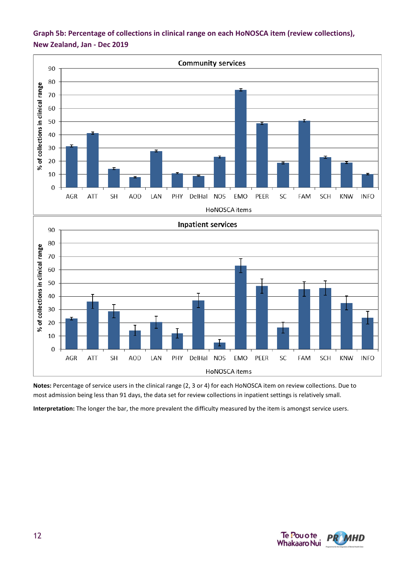

### **Graph 5b: Percentage of collections in clinical range on each HoNOSCA item (review collections), New Zealand, Jan - Dec 2019**

**Notes:** Percentage of service users in the clinical range (2, 3 or 4) for each HoNOSCA item on review collections. Due to most admission being less than 91 days, the data set for review collections in inpatient settings is relatively small.

**Interpretation:** The longer the bar, the more prevalent the difficulty measured by the item is amongst service users.

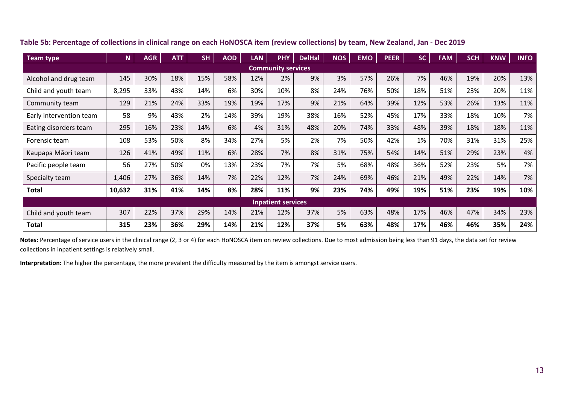| <b>Team type</b>        | $\mathbf N$ | <b>AGR</b> | <b>ATT</b> | <b>SH</b> | <b>AOD</b> | <b>LAN</b> | <b>PHY</b>                | <b>DelHal</b> | <b>NOS</b> | <b>EMO</b> | <b>PEER</b> | <b>SC</b> | <b>FAM</b> | <b>SCH</b> | <b>KNW</b> | <b>INFO</b> |
|-------------------------|-------------|------------|------------|-----------|------------|------------|---------------------------|---------------|------------|------------|-------------|-----------|------------|------------|------------|-------------|
|                         |             |            |            |           |            |            | <b>Community services</b> |               |            |            |             |           |            |            |            |             |
| Alcohol and drug team   | 145         | 30%        | 18%        | 15%       | 58%        | 12%        | 2%                        | 9%            | 3%         | 57%        | 26%         | 7%        | 46%        | 19%        | 20%        | 13%         |
| Child and youth team    | 8,295       | 33%        | 43%        | 14%       | 6%         | 30%        | 10%                       | 8%            | 24%        | 76%        | 50%         | 18%       | 51%        | 23%        | 20%        | 11%         |
| Community team          | 129         | 21%        | 24%        | 33%       | 19%        | 19%        | 17%                       | 9%            | 21%        | 64%        | 39%         | 12%       | 53%        | 26%        | 13%        | 11%         |
| Early intervention team | 58          | 9%         | 43%        | 2%        | 14%        | 39%        | 19%                       | 38%           | 16%        | 52%        | 45%         | 17%       | 33%        | 18%        | 10%        | 7%          |
| Eating disorders team   | 295         | 16%        | 23%        | 14%       | 6%         | 4%         | 31%                       | 48%           | 20%        | 74%        | 33%         | 48%       | 39%        | 18%        | 18%        | 11%         |
| Forensic team           | 108         | 53%        | 50%        | 8%        | 34%        | 27%        | 5%                        | 2%            | 7%         | 50%        | 42%         | 1%        | 70%        | 31%        | 31%        | 25%         |
| Kaupapa Māori team      | 126         | 41%        | 49%        | 11%       | 6%         | 28%        | 7%                        | 8%            | 31%        | 75%        | 54%         | 14%       | 51%        | 29%        | 23%        | 4%          |
| Pacific people team     | 56          | 27%        | 50%        | 0%        | 13%        | 23%        | 7%                        | 7%            | 5%         | 68%        | 48%         | 36%       | 52%        | 23%        | 5%         | 7%          |
| Specialty team          | 1,406       | 27%        | 36%        | 14%       | 7%         | 22%        | 12%                       | 7%            | 24%        | 69%        | 46%         | 21%       | 49%        | 22%        | 14%        | 7%          |
| Total                   | 10,632      | 31%        | 41%        | 14%       | 8%         | 28%        | 11%                       | 9%            | 23%        | 74%        | 49%         | 19%       | 51%        | 23%        | 19%        | 10%         |
|                         |             |            |            |           |            |            | <b>Inpatient services</b> |               |            |            |             |           |            |            |            |             |
| Child and youth team    | 307         | 22%        | 37%        | 29%       | 14%        | 21%        | 12%                       | 37%           | 5%         | 63%        | 48%         | 17%       | 46%        | 47%        | 34%        | 23%         |
| <b>Total</b>            | 315         | 23%        | 36%        | 29%       | 14%        | 21%        | 12%                       | 37%           | 5%         | 63%        | 48%         | 17%       | 46%        | 46%        | 35%        | 24%         |

**Table 5b: Percentage of collections in clinical range on each HoNOSCA item (review collections) by team, New Zealand, Jan - Dec 2019**

Notes: Percentage of service users in the clinical range (2, 3 or 4) for each HoNOSCA item on review collections. Due to most admission being less than 91 days, the data set for review collections in inpatient settings is relatively small.

**Interpretation:** The higher the percentage, the more prevalent the difficulty measured by the item is amongst service users.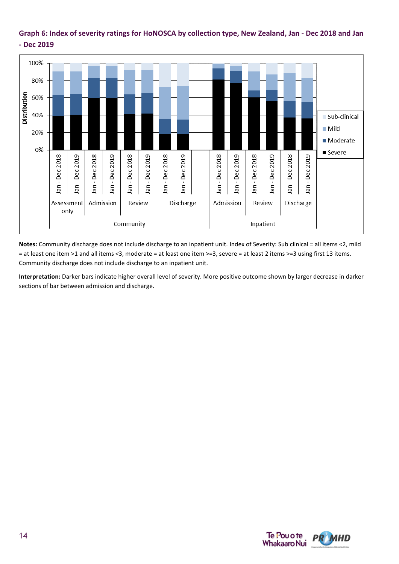#### **Graph 6: Index of severity ratings for HoNOSCA by collection type, New Zealand, Jan - Dec 2018 and Jan - Dec 2019**



**Notes:** Community discharge does not include discharge to an inpatient unit. Index of Severity: Sub clinical = all items <2, mild = at least one item >1 and all items <3, moderate = at least one item >=3, severe = at least 2 items >=3 using first 13 items. Community discharge does not include discharge to an inpatient unit.

**Interpretation:** Darker bars indicate higher overall level of severity. More positive outcome shown by larger decrease in darker sections of bar between admission and discharge.

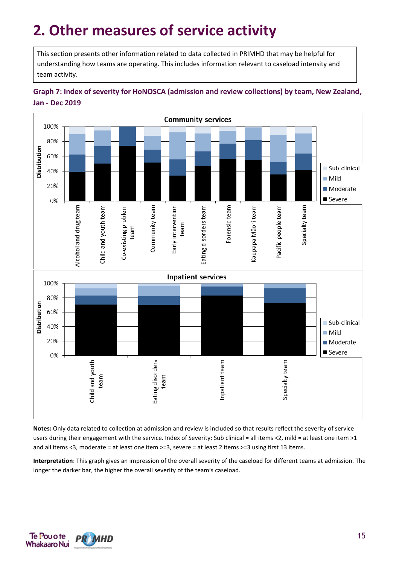# **2. Other measures of service activity**

This section presents other information related to data collected in PRIMHD that may be helpful for understanding how teams are operating. This includes information relevant to caseload intensity and team activity.





**Notes:** Only data related to collection at admission and review is included so that results reflect the severity of service users during their engagement with the service. Index of Severity: Sub clinical = all items <2, mild = at least one item >1 and all items <3, moderate = at least one item >=3, severe = at least 2 items >=3 using first 13 items.

**Interpretation**: This graph gives an impression of the overall severity of the caseload for different teams at admission. The longer the darker bar, the higher the overall severity of the team's caseload.

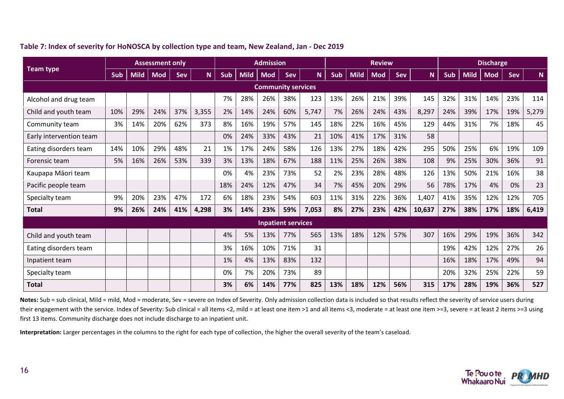|                         | <b>Assessment only</b> |             |            |     |       | <b>Admission</b> |             |                           |                           | <b>Review</b> |            |             |            |     | <b>Discharge</b> |            |             |            |     |       |
|-------------------------|------------------------|-------------|------------|-----|-------|------------------|-------------|---------------------------|---------------------------|---------------|------------|-------------|------------|-----|------------------|------------|-------------|------------|-----|-------|
| <b>Team type</b>        | Sub                    | <b>Mild</b> | <b>Mod</b> | Sev | N     | Sub              | <b>Mild</b> | <b>Mod</b>                | Sev                       | N             | <b>Sub</b> | <b>Mild</b> | <b>Mod</b> | Sev | <b>N</b>         | <b>Sub</b> | <b>Mild</b> | <b>Mod</b> | Sev | N.    |
|                         |                        |             |            |     |       |                  |             | <b>Community services</b> |                           |               |            |             |            |     |                  |            |             |            |     |       |
| Alcohol and drug team   |                        |             |            |     |       | 7%               | 28%         | 26%                       | 38%                       | 123           | 13%        | 26%         | 21%        | 39% | 145              | 32%        | 31%         | 14%        | 23% | 114   |
| Child and youth team    | 10%                    | 29%         | 24%        | 37% | 3,355 | 2%               | 14%         | 24%                       | 60%                       | 5,747         | 7%         | 26%         | 24%        | 43% | 8,297            | 24%        | 39%         | 17%        | 19% | 5,279 |
| Community team          | 3%                     | 14%         | 20%        | 62% | 373   | 8%               | 16%         | 19%                       | 57%                       | 145           | 18%        | 22%         | 16%        | 45% | 129              | 44%        | 31%         | 7%         | 18% | 45    |
| Early intervention team |                        |             |            |     |       | 0%               | 24%         | 33%                       | 43%                       | 21            | 10%        | 41%         | 17%        | 31% | 58               |            |             |            |     |       |
| Eating disorders team   | 14%                    | 10%         | 29%        | 48% | 21    | 1%               | 17%         | 24%                       | 58%                       | 126           | 13%        | 27%         | 18%        | 42% | 295              | 50%        | 25%         | 6%         | 19% | 109   |
| Forensic team           | 5%                     | 16%         | 26%        | 53% | 339   | 3%               | 13%         | 18%                       | 67%                       | 188           | 11%        | 25%         | 26%        | 38% | 108              | 9%         | 25%         | 30%        | 36% | 91    |
| Kaupapa Māori team      |                        |             |            |     |       | 0%               | 4%          | 23%                       | 73%                       | 52            | 2%         | 23%         | 28%        | 48% | 126              | 13%        | 50%         | 21%        | 16% | 38    |
| Pacific people team     |                        |             |            |     |       | 18%              | 24%         | 12%                       | 47%                       | 34            | 7%         | 45%         | 20%        | 29% | 56               | 78%        | 17%         | 4%         | 0%  | 23    |
| Specialty team          | 9%                     | 20%         | 23%        | 47% | 172   | 6%               | 18%         | 23%                       | 54%                       | 603           | 11%        | 31%         | 22%        | 36% | 1,407            | 41%        | 35%         | 12%        | 12% | 705   |
| <b>Total</b>            | 9%                     | 26%         | 24%        | 41% | 4,298 | 3%               | 14%         | 23%                       | 59%                       | 7,053         | 8%         | 27%         | 23%        | 42% | 10,637           | 27%        | 38%         | 17%        | 18% | 6,419 |
|                         |                        |             |            |     |       |                  |             |                           | <b>Inpatient services</b> |               |            |             |            |     |                  |            |             |            |     |       |
| Child and youth team    |                        |             |            |     |       | 4%               | 5%          | 13%                       | 77%                       | 565           | 13%        | 18%         | 12%        | 57% | 307              | 16%        | 29%         | 19%        | 36% | 342   |
| Eating disorders team   |                        |             |            |     |       | 3%               | 16%         | 10%                       | 71%                       | 31            |            |             |            |     |                  | 19%        | 42%         | 12%        | 27% | 26    |
| Inpatient team          |                        |             |            |     |       | 1%               | 4%          | 13%                       | 83%                       | 132           |            |             |            |     |                  | 16%        | 18%         | 17%        | 49% | 94    |
| Specialty team          |                        |             |            |     |       | 0%               | 7%          | 20%                       | 73%                       | 89            |            |             |            |     |                  | 20%        | 32%         | 25%        | 22% | 59    |
| <b>Total</b>            |                        |             |            |     |       | 3%               | 6%          | 14%                       | 77%                       | 825           | 13%        | 18%         | 12%        | 56% | 315              | 17%        | 28%         | 19%        | 36% | 527   |

**Table 7: Index of severity for HoNOSCA by collection type and team, New Zealand, Jan - Dec 2019**

Notes: Sub = sub clinical, Mild = mild, Mod = moderate, Sev = severe on Index of Severity. Only admission collection data is included so that results reflect the severity of service users during their engagement with the service. Index of Severity: Sub clinical = all items <2, mild = at least one item >1 and all items <3, moderate = at least one item >=3, severe = at least 2 items >=3 using first 13 items. Community discharge does not include discharge to an inpatient unit.

**Interpretation:** Larger percentages in the columns to the right for each type of collection, the higher the overall severity of the team's caseload.

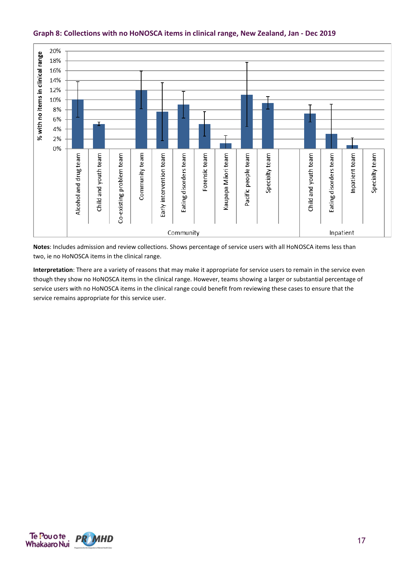

#### **Graph 8: Collections with no HoNOSCA items in clinical range, New Zealand, Jan - Dec 2019**

**Notes**: Includes admission and review collections. Shows percentage of service users with all HoNOSCA items less than two, ie no HoNOSCA items in the clinical range.

**Interpretation**: There are a variety of reasons that may make it appropriate for service users to remain in the service even though they show no HoNOSCA items in the clinical range. However, teams showing a larger or substantial percentage of service users with no HoNOSCA items in the clinical range could benefit from reviewing these cases to ensure that the service remains appropriate for this service user.

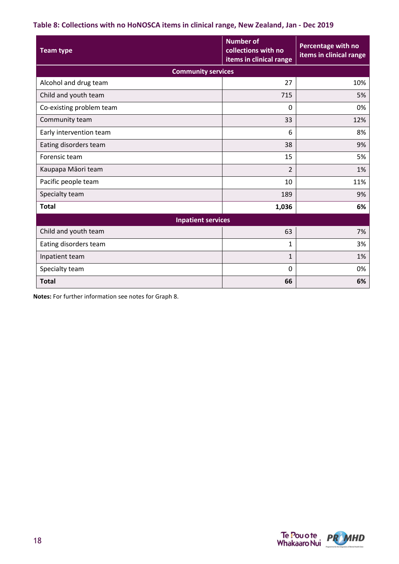#### **Table 8: Collections with no HoNOSCA items in clinical range, New Zealand, Jan - Dec 2019**

| <b>Team type</b>          | <b>Number of</b><br>collections with no<br>items in clinical range | Percentage with no<br>items in clinical range |
|---------------------------|--------------------------------------------------------------------|-----------------------------------------------|
| <b>Community services</b> |                                                                    |                                               |
| Alcohol and drug team     | 27                                                                 | 10%                                           |
| Child and youth team      | 715                                                                | 5%                                            |
| Co-existing problem team  | 0                                                                  | 0%                                            |
| Community team            | 33                                                                 | 12%                                           |
| Early intervention team   | 6                                                                  | 8%                                            |
| Eating disorders team     | 38                                                                 | 9%                                            |
| Forensic team             | 15                                                                 | 5%                                            |
| Kaupapa Māori team        | $\overline{2}$                                                     | 1%                                            |
| Pacific people team       | 10                                                                 | 11%                                           |
| Specialty team            | 189                                                                | 9%                                            |
| <b>Total</b>              | 1,036                                                              | 6%                                            |
| <b>Inpatient services</b> |                                                                    |                                               |
| Child and youth team      | 63                                                                 | 7%                                            |
| Eating disorders team     | $\mathbf{1}$                                                       | 3%                                            |
| Inpatient team            | $\mathbf{1}$                                                       | 1%                                            |
| Specialty team            | 0                                                                  | 0%                                            |
| <b>Total</b>              | 66                                                                 | 6%                                            |

**Notes:** For further information see notes for Graph 8.

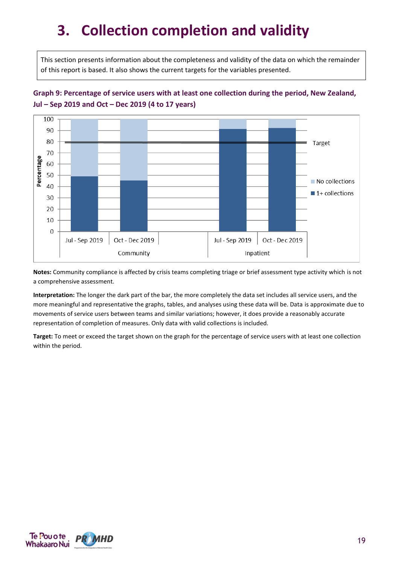# **3. Collection completion and validity**

This section presents information about the completeness and validity of the data on which the remainder of this report is based. It also shows the current targets for the variables presented.

### **Graph 9: Percentage of service users with at least one collection during the period, New Zealand, Jul – Sep 2019 and Oct – Dec 2019 (4 to 17 years)**



**Notes:** Community compliance is affected by crisis teams completing triage or brief assessment type activity which is not a comprehensive assessment.

**Interpretation:** The longer the dark part of the bar, the more completely the data set includes all service users, and the more meaningful and representative the graphs, tables, and analyses using these data will be. Data is approximate due to movements of service users between teams and similar variations; however, it does provide a reasonably accurate representation of completion of measures. Only data with valid collections is included.

**Target:** To meet or exceed the target shown on the graph for the percentage of service users with at least one collection within the period.

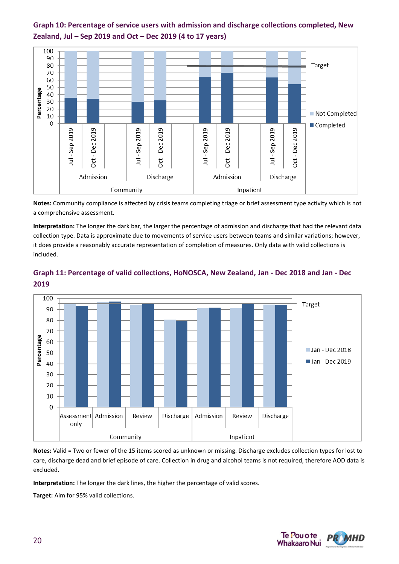



**Notes:** Community compliance is affected by crisis teams completing triage or brief assessment type activity which is not a comprehensive assessment.

**Interpretation:** The longer the dark bar, the larger the percentage of admission and discharge that had the relevant data collection type. Data is approximate due to movements of service users between teams and similar variations; however, it does provide a reasonably accurate representation of completion of measures. Only data with valid collections is included.



#### **Graph 11: Percentage of valid collections, HoNOSCA, New Zealand, Jan - Dec 2018 and Jan - Dec 2019**

**Notes:** Valid = Two or fewer of the 15 items scored as unknown or missing. Discharge excludes collection types for lost to care, discharge dead and brief episode of care. Collection in drug and alcohol teams is not required, therefore AOD data is excluded.

**Interpretation:** The longer the dark lines, the higher the percentage of valid scores.

**Target:** Aim for 95% valid collections.